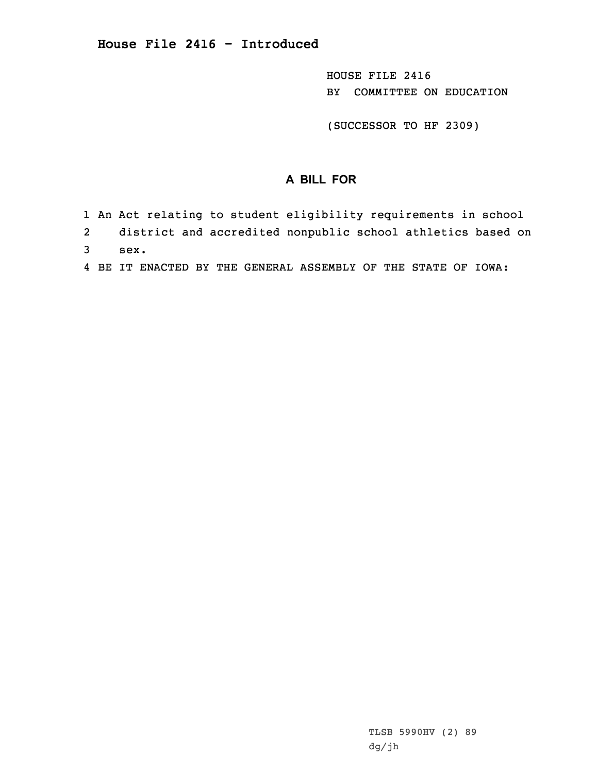HOUSE FILE 2416 BY COMMITTEE ON EDUCATION

(SUCCESSOR TO HF 2309)

## **A BILL FOR**

- 1 An Act relating to student eligibility requirements in school
- 2 district and accredited nonpublic school athletics based on 3 sex.
- 4 BE IT ENACTED BY THE GENERAL ASSEMBLY OF THE STATE OF IOWA:

TLSB 5990HV (2) 89 dg/jh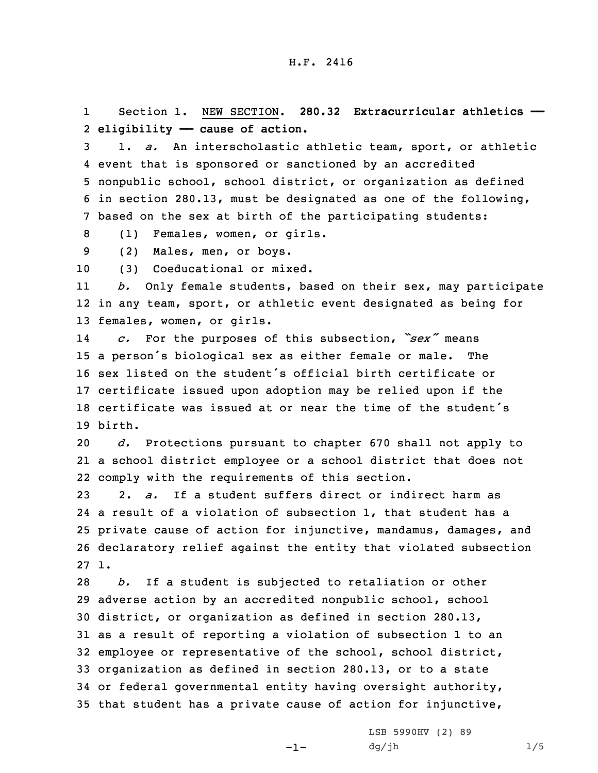1 Section 1. NEW SECTION. **280.32 Extracurricular athletics ——** 2 **eligibility —— cause of action.**

 1. *a.* An interscholastic athletic team, sport, or athletic event that is sponsored or sanctioned by an accredited nonpublic school, school district, or organization as defined in section 280.13, must be designated as one of the following, based on the sex at birth of the participating students:

8 (1) Females, women, or girls.

9 (2) Males, men, or boys.

10 (3) Coeducational or mixed.

11 *b.* Only female students, based on their sex, may participate 12 in any team, sport, or athletic event designated as being for 13 females, women, or girls.

14 *c.* For the purposes of this subsection, *"sex"* means <sup>15</sup> <sup>a</sup> person's biological sex as either female or male. The 16 sex listed on the student's official birth certificate or 17 certificate issued upon adoption may be relied upon if the 18 certificate was issued at or near the time of the student's 19 birth.

20 *d.* Protections pursuant to chapter 670 shall not apply to 21 <sup>a</sup> school district employee or <sup>a</sup> school district that does not 22 comply with the requirements of this section.

 2. *a.* If <sup>a</sup> student suffers direct or indirect harm as <sup>a</sup> result of <sup>a</sup> violation of subsection 1, that student has <sup>a</sup> private cause of action for injunctive, mandamus, damages, and declaratory relief against the entity that violated subsection 27 1.

 *b.* If <sup>a</sup> student is subjected to retaliation or other adverse action by an accredited nonpublic school, school district, or organization as defined in section 280.13, as <sup>a</sup> result of reporting <sup>a</sup> violation of subsection 1 to an employee or representative of the school, school district, organization as defined in section 280.13, or to <sup>a</sup> state or federal governmental entity having oversight authority, that student has <sup>a</sup> private cause of action for injunctive,

-1-

LSB 5990HV (2) 89  $dg/jh$  1/5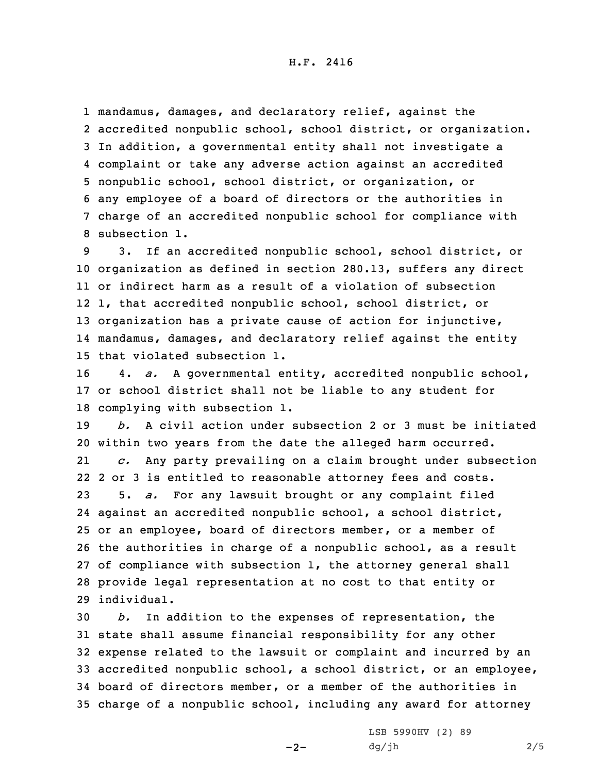mandamus, damages, and declaratory relief, against the accredited nonpublic school, school district, or organization. In addition, <sup>a</sup> governmental entity shall not investigate <sup>a</sup> complaint or take any adverse action against an accredited nonpublic school, school district, or organization, or any employee of <sup>a</sup> board of directors or the authorities in charge of an accredited nonpublic school for compliance with subsection 1.

 3. If an accredited nonpublic school, school district, or organization as defined in section 280.13, suffers any direct or indirect harm as <sup>a</sup> result of <sup>a</sup> violation of subsection 1, that accredited nonpublic school, school district, or organization has <sup>a</sup> private cause of action for injunctive, mandamus, damages, and declaratory relief against the entity that violated subsection 1.

16 4. *a.* <sup>A</sup> governmental entity, accredited nonpublic school, 17 or school district shall not be liable to any student for 18 complying with subsection 1.

 *b.* A civil action under subsection 2 or 3 must be initiated within two years from the date the alleged harm occurred. 21 *c.* Any party prevailing on <sup>a</sup> claim brought under subsection 2 or 3 is entitled to reasonable attorney fees and costs. 5. *a.* For any lawsuit brought or any complaint filed against an accredited nonpublic school, <sup>a</sup> school district, or an employee, board of directors member, or <sup>a</sup> member of the authorities in charge of <sup>a</sup> nonpublic school, as <sup>a</sup> result of compliance with subsection 1, the attorney general shall provide legal representation at no cost to that entity or individual.

 *b.* In addition to the expenses of representation, the state shall assume financial responsibility for any other expense related to the lawsuit or complaint and incurred by an accredited nonpublic school, <sup>a</sup> school district, or an employee, board of directors member, or <sup>a</sup> member of the authorities in charge of <sup>a</sup> nonpublic school, including any award for attorney

 $-2-$ 

LSB 5990HV (2) 89  $dg/jh$  2/5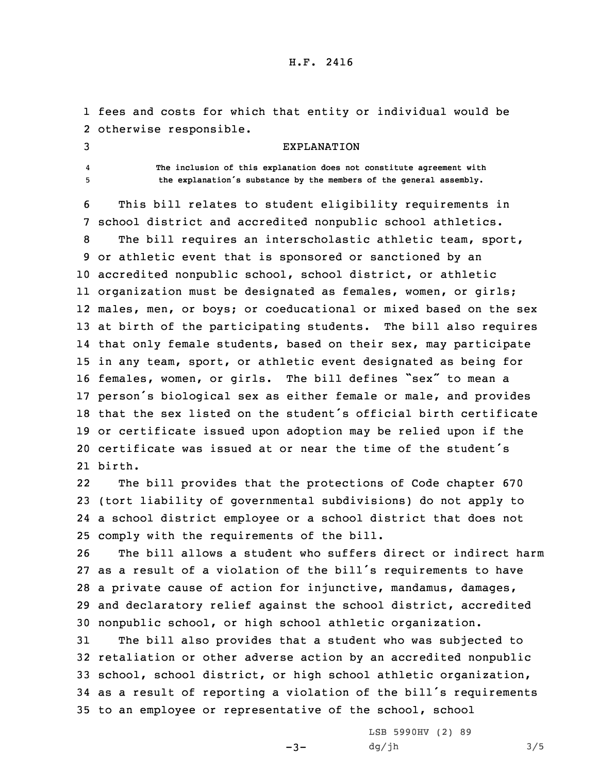## H.F. 2416

1 fees and costs for which that entity or individual would be 2 otherwise responsible.

3 EXPLANATION

4

 **The inclusion of this explanation does not constitute agreement with** <sup>5</sup> **the explanation's substance by the members of the general assembly.**

6 This bill relates to student eligibility requirements in 7 school district and accredited nonpublic school athletics.

 The bill requires an interscholastic athletic team, sport, or athletic event that is sponsored or sanctioned by an accredited nonpublic school, school district, or athletic organization must be designated as females, women, or girls; males, men, or boys; or coeducational or mixed based on the sex at birth of the participating students. The bill also requires that only female students, based on their sex, may participate in any team, sport, or athletic event designated as being for females, women, or girls. The bill defines "sex" to mean <sup>a</sup> person's biological sex as either female or male, and provides that the sex listed on the student's official birth certificate or certificate issued upon adoption may be relied upon if the certificate was issued at or near the time of the student's 21 birth.

22 The bill provides that the protections of Code chapter 670 23 (tort liability of governmental subdivisions) do not apply to 24 <sup>a</sup> school district employee or <sup>a</sup> school district that does not 25 comply with the requirements of the bill.

 The bill allows <sup>a</sup> student who suffers direct or indirect harm as <sup>a</sup> result of <sup>a</sup> violation of the bill's requirements to have <sup>a</sup> private cause of action for injunctive, mandamus, damages, and declaratory relief against the school district, accredited nonpublic school, or high school athletic organization.

 The bill also provides that <sup>a</sup> student who was subjected to retaliation or other adverse action by an accredited nonpublic school, school district, or high school athletic organization, as <sup>a</sup> result of reporting <sup>a</sup> violation of the bill's requirements to an employee or representative of the school, school

 $-3-$ 

LSB 5990HV (2) 89  $dg/jh$  3/5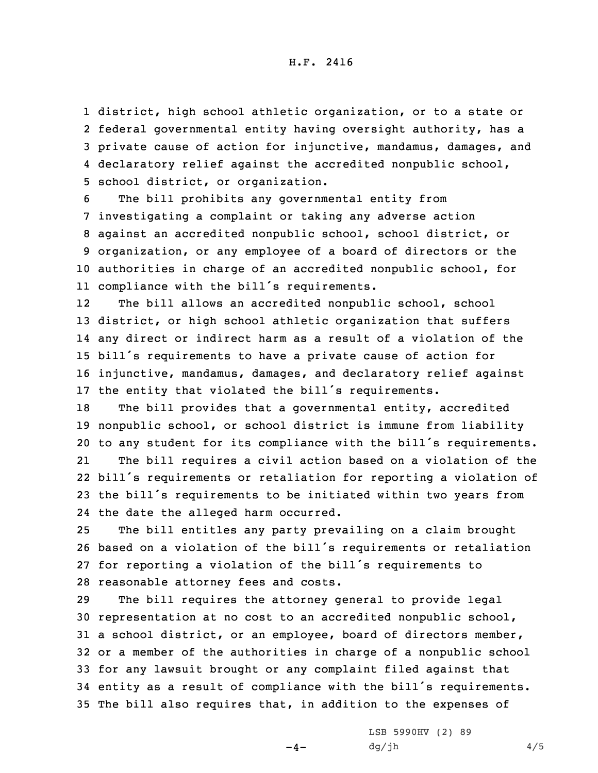## H.F. 2416

 district, high school athletic organization, or to <sup>a</sup> state or federal governmental entity having oversight authority, has <sup>a</sup> private cause of action for injunctive, mandamus, damages, and declaratory relief against the accredited nonpublic school, school district, or organization.

 The bill prohibits any governmental entity from investigating <sup>a</sup> complaint or taking any adverse action against an accredited nonpublic school, school district, or organization, or any employee of <sup>a</sup> board of directors or the authorities in charge of an accredited nonpublic school, for compliance with the bill's requirements.

12The bill allows an accredited nonpublic school, school district, or high school athletic organization that suffers any direct or indirect harm as <sup>a</sup> result of <sup>a</sup> violation of the bill's requirements to have <sup>a</sup> private cause of action for injunctive, mandamus, damages, and declaratory relief against the entity that violated the bill's requirements.

 The bill provides that <sup>a</sup> governmental entity, accredited nonpublic school, or school district is immune from liability to any student for its compliance with the bill's requirements. 21 The bill requires <sup>a</sup> civil action based on <sup>a</sup> violation of the bill's requirements or retaliation for reporting <sup>a</sup> violation of the bill's requirements to be initiated within two years from the date the alleged harm occurred.

 The bill entitles any party prevailing on <sup>a</sup> claim brought based on <sup>a</sup> violation of the bill's requirements or retaliation for reporting <sup>a</sup> violation of the bill's requirements to reasonable attorney fees and costs.

 The bill requires the attorney general to provide legal representation at no cost to an accredited nonpublic school, <sup>a</sup> school district, or an employee, board of directors member, or <sup>a</sup> member of the authorities in charge of <sup>a</sup> nonpublic school for any lawsuit brought or any complaint filed against that entity as <sup>a</sup> result of compliance with the bill's requirements. The bill also requires that, in addition to the expenses of

 $-4-$ 

LSB 5990HV (2) 89  $dg/jh$  4/5